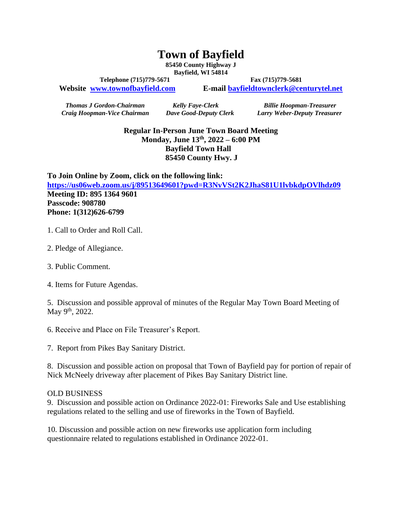## **Town of Bayfield**

**85450 County Highway J Bayfield, WI 54814**

Telephone (715)779-5671 **Fax** (715)779-5681

**Website [www.townofbayfield.com](http://www.townofbayfield.com/) E-mail [bayfieldtownclerk@centurytel.net](mailto:bayfieldtownclerk@centurytel.net)**

*Craig Hoopman-Vice Chairman Dave Good-Deputy Clerk Larry Weber-Deputy Treasurer*

*Thomas J Gordon-Chairman Kelly Faye-Clerk Billie Hoopman-Treasurer*

**Regular In-Person June Town Board Meeting Monday, June 13th , 2022 – 6:00 PM Bayfield Town Hall 85450 County Hwy. J**

**To Join Online by Zoom, click on the following link: <https://us06web.zoom.us/j/89513649601?pwd=R3NvVSt2K2JhaS81U1lvbkdpOVlhdz09> Meeting ID: 895 1364 9601 Passcode: 908780 Phone: 1(312)626-6799**

- 1. Call to Order and Roll Call.
- 2. Pledge of Allegiance.
- 3. Public Comment.
- 4. Items for Future Agendas.

5. Discussion and possible approval of minutes of the Regular May Town Board Meeting of May 9<sup>th</sup>, 2022.

6. Receive and Place on File Treasurer's Report.

7. Report from Pikes Bay Sanitary District.

8. Discussion and possible action on proposal that Town of Bayfield pay for portion of repair of Nick McNeely driveway after placement of Pikes Bay Sanitary District line.

## OLD BUSINESS

9. Discussion and possible action on Ordinance 2022-01: Fireworks Sale and Use establishing regulations related to the selling and use of fireworks in the Town of Bayfield.

10. Discussion and possible action on new fireworks use application form including questionnaire related to regulations established in Ordinance 2022-01.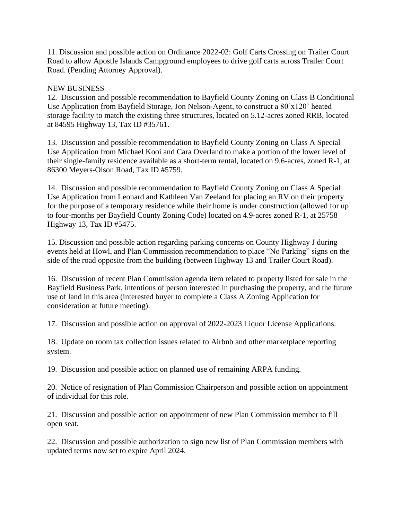11. Discussion and possible action on Ordinance 2022-02: Golf Carts Crossing on Trailer Court Road to allow Apostle Islands Campground employees to drive golf carts across Trailer Court Road. (Pending Attorney Approval).

## NEW BUSINESS

12. Discussion and possible recommendation to Bayfield County Zoning on Class B Conditional Use Application from Bayfield Storage, Jon Nelson-Agent, to construct a 80'x120' heated storage facility to match the existing three structures, located on 5.12-acres zoned RRB, located at 84595 Highway 13, Tax ID #35761.

13. Discussion and possible recommendation to Bayfield County Zoning on Class A Special Use Application from Michael Kooi and Cara Overland to make a portion of the lower level of their single-family residence available as a short-term rental, located on 9.6-acres, zoned R-1, at 86300 Meyers-Olson Road, Tax ID #5759.

14. Discussion and possible recommendation to Bayfield County Zoning on Class A Special Use Application from Leonard and Kathleen Van Zeeland for placing an RV on their property for the purpose of a temporary residence while their home is under construction (allowed for up to four-months per Bayfield County Zoning Code) located on 4.9-acres zoned R-1, at 25758 Highway 13, Tax ID #5475.

15. Discussion and possible action regarding parking concerns on County Highway J during events held at Howl, and Plan Commission recommendation to place "No Parking" signs on the side of the road opposite from the building (between Highway 13 and Trailer Court Road).

16. Discussion of recent Plan Commission agenda item related to property listed for sale in the Bayfield Business Park, intentions of person interested in purchasing the property, and the future use of land in this area (interested buyer to complete a Class A Zoning Application for consideration at future meeting).

17. Discussion and possible action on approval of 2022-2023 Liquor License Applications.

18. Update on room tax collection issues related to Airbnb and other marketplace reporting system.

19. Discussion and possible action on planned use of remaining ARPA funding.

20. Notice of resignation of Plan Commission Chairperson and possible action on appointment of individual for this role.

21. Discussion and possible action on appointment of new Plan Commission member to fill open seat.

22. Discussion and possible authorization to sign new list of Plan Commission members with updated terms now set to expire April 2024.